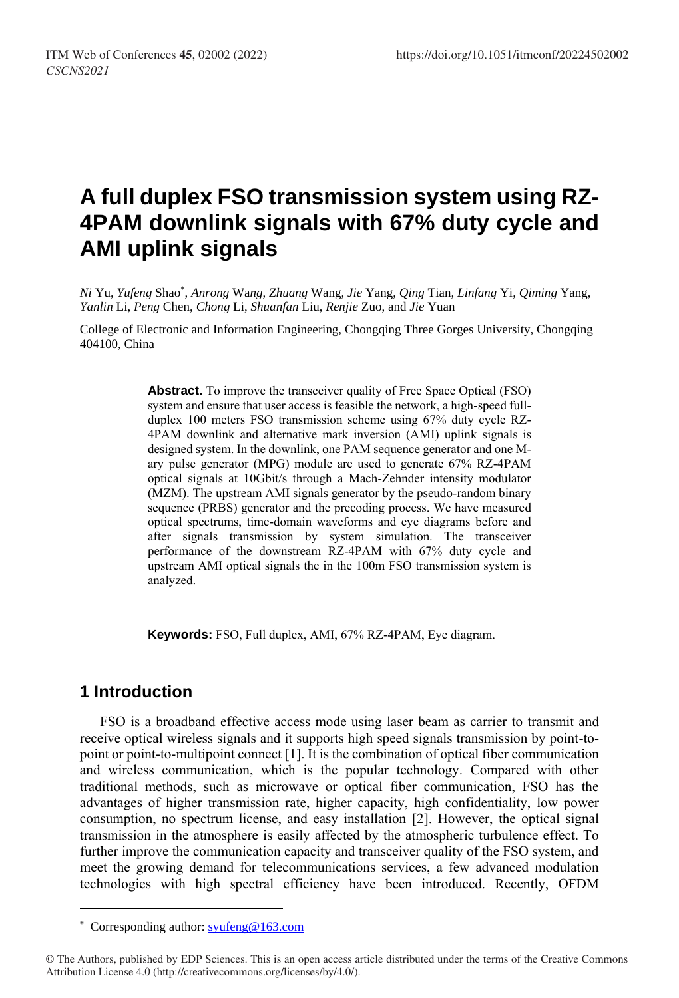# **A full duplex FSO transmission system using RZ-4PAM downlink signals with 67% duty cycle and AMI uplink signals**

*Ni* Yu, *Yufeng* Shao\* , *Anrong* Wa*ng*, *Zhuang* Wang, *Jie* Yang, *Qing* Tian, *Linfang* Yi, *Qiming* Yang, *Yanlin* Li, *Peng* Chen, *Chong* Li, *Shuanfan* Liu, *Renjie* Zuo, and *Jie* Yuan

College of Electronic and Information Engineering, Chongqing Three Gorges University, Chongqing 404100, China

> **Abstract.** To improve the transceiver quality of Free Space Optical (FSO) system and ensure that user access is feasible the network, a high-speed fullduplex 100 meters FSO transmission scheme using 67% duty cycle RZ-4PAM downlink and alternative mark inversion (AMI) uplink signals is designed system. In the downlink, one PAM sequence generator and one Mary pulse generator (MPG) module are used to generate 67% RZ-4PAM optical signals at 10Gbit/s through a Mach-Zehnder intensity modulator (MZM). The upstream AMI signals generator by the pseudo-random binary sequence (PRBS) generator and the precoding process. We have measured optical spectrums, time-domain waveforms and eye diagrams before and after signals transmission by system simulation. The transceiver performance of the downstream RZ-4PAM with 67% duty cycle and upstream AMI optical signals the in the 100m FSO transmission system is analyzed.

**Keywords:** FSO, Full duplex, AMI, 67% RZ-4PAM, Eye diagram.

## **1 Introduction**

 $\overline{a}$ 

FSO is a broadband effective access mode using laser beam as carrier to transmit and receive optical wireless signals and it supports high speed signals transmission by point-topoint or point-to-multipoint connect [\[1\]](#page-3-0). It is the combination of optical fiber communication and wireless communication, which is the popular technology. Compared with other traditional methods, such as microwave or optical fiber communication, FSO has the advantages of higher transmission rate, higher capacity, high confidentiality, low power consumption, no spectrum license, and easy installation [\[2\]](#page-3-1). However, the optical signal transmission in the atmosphere is easily affected by the atmospheric turbulence effect. To further improve the communication capacity and transceiver quality of the FSO system, and meet the growing demand for telecommunications services, a few advanced modulation technologies with high spectral efficiency have been introduced. Recently, OFDM

<sup>\*</sup> Corresponding author[: syufeng@163.com](mailto:syufeng@163.com)

<sup>©</sup> The Authors, published by EDP Sciences. This is an open access article distributed under the terms of the Creative Commons Attribution License 4.0 (http://creativecommons.org/licenses/by/4.0/).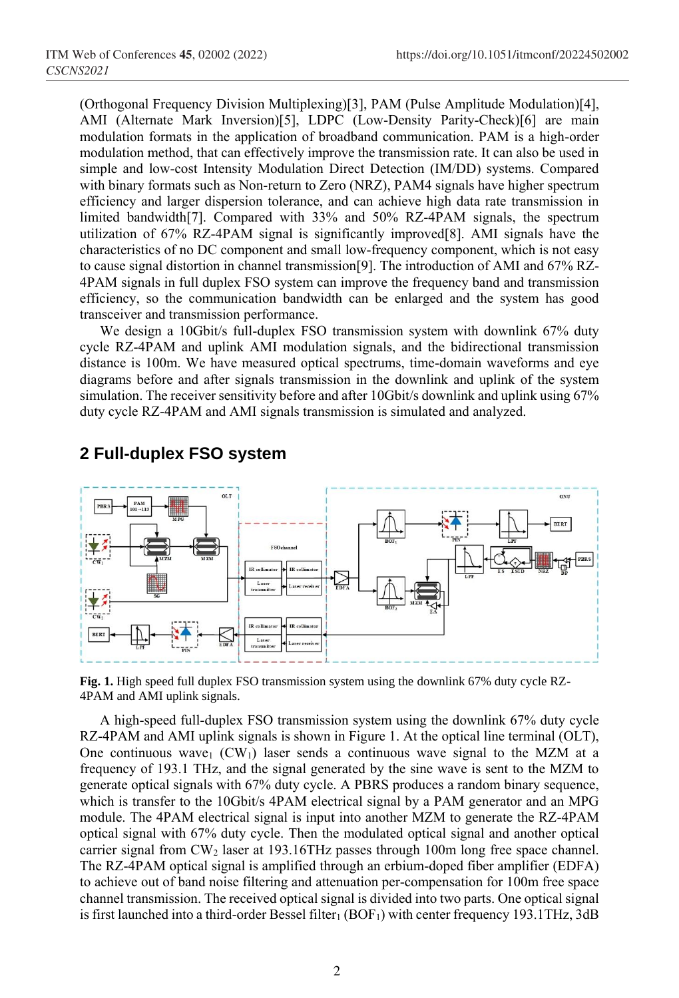(Orthogonal Frequency Division Multiplexing)[\[3\]](#page-4-0), PAM (Pulse Amplitude Modulation)[\[4\]](#page-4-1), AMI (Alternate Mark Inversion)[\[5\]](#page-4-2), LDPC (Low-Density Parity-Check)[\[6\]](#page-4-3) are main modulation formats in the application of broadband communication. PAM is a high-order modulation method, that can effectively improve the transmission rate. It can also be used in simple and low-cost Intensity Modulation Direct Detection (IM/DD) systems. Compared with binary formats such as Non-return to Zero (NRZ), PAM4 signals have higher spectrum efficiency and larger dispersion tolerance, and can achieve high data rate transmission in limited bandwidth[\[7\]](#page-4-4). Compared with 33% and 50% RZ-4PAM signals, the spectrum utilization of 67% RZ-4PAM signal is significantly improved[\[8\]](#page-4-5). AMI signals have the characteristics of no DC component and small low-frequency component, which is not easy to cause signal distortion in channel transmission[\[9\]](#page-4-6). The introduction of AMI and 67% RZ-4PAM signals in full duplex FSO system can improve the frequency band and transmission efficiency, so the communication bandwidth can be enlarged and the system has good transceiver and transmission performance.

We design a 10Gbit/s full-duplex FSO transmission system with downlink 67% duty cycle RZ-4PAM and uplink AMI modulation signals, and the bidirectional transmission distance is 100m. We have measured optical spectrums, time-domain waveforms and eye diagrams before and after signals transmission in the downlink and uplink of the system simulation. The receiver sensitivity before and after 10Gbit/s downlink and uplink using 67% duty cycle RZ-4PAM and AMI signals transmission is simulated and analyzed.



## **2 Full-duplex FSO system**

**Fig. 1.** High speed full duplex FSO transmission system using the downlink 67% duty cycle RZ-4PAM and AMI uplink signals.

A high-speed full-duplex FSO transmission system using the downlink 67% duty cycle RZ-4PAM and AMI uplink signals is shown in Figure 1. At the optical line terminal (OLT), One continuous wave<sub>1</sub> (CW<sub>1</sub>) laser sends a continuous wave signal to the MZM at a frequency of 193.1 THz, and the signal generated by the sine wave is sent to the MZM to generate optical signals with 67% duty cycle. A PBRS produces a random binary sequence, which is transfer to the 10Gbit/s 4PAM electrical signal by a PAM generator and an MPG module. The 4PAM electrical signal is input into another MZM to generate the RZ-4PAM optical signal with 67% duty cycle. Then the modulated optical signal and another optical carrier signal from CW<sub>2</sub> laser at 193.16THz passes through 100m long free space channel. The RZ-4PAM optical signal is amplified through an erbium-doped fiber amplifier (EDFA) to achieve out of band noise filtering and attenuation per-compensation for 100m free space channel transmission. The received optical signal is divided into two parts. One optical signal is first launched into a third-order Bessel filter<sub>1</sub> (BOF<sub>1</sub>) with center frequency 193.1THz, 3dB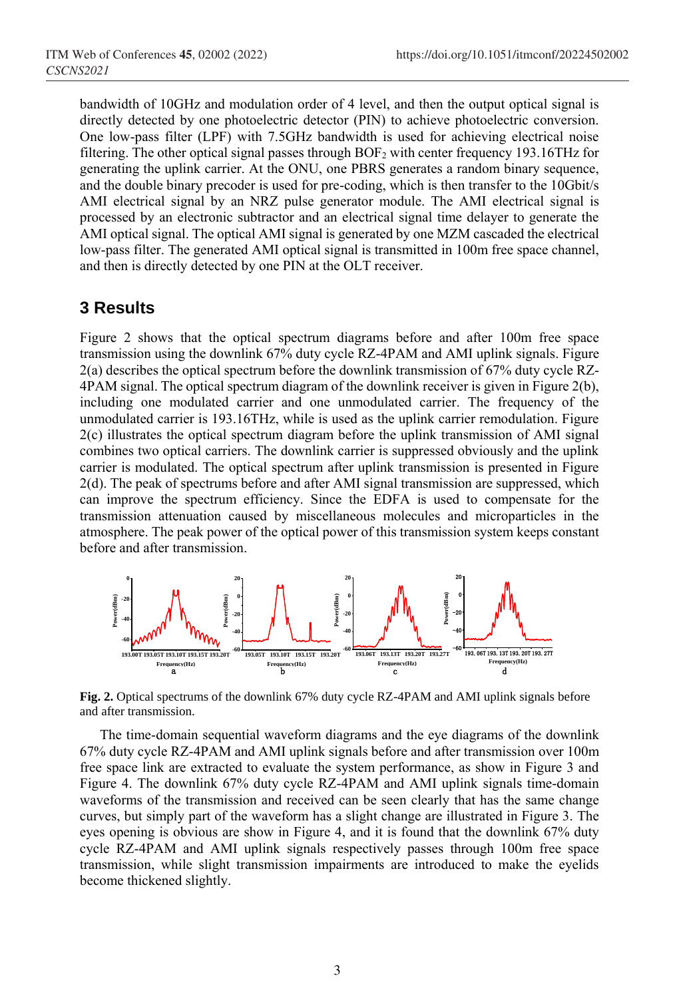bandwidth of 10GHz and modulation order of 4 level, and then the output optical signal is directly detected by one photoelectric detector (PIN) to achieve photoelectric conversion. One low-pass filter (LPF) with 7.5GHz bandwidth is used for achieving electrical noise filtering. The other optical signal passes through BOF<sup>2</sup> with center frequency 193.16THz for generating the uplink carrier. At the ONU, one PBRS generates a random binary sequence, and the double binary precoder is used for pre-coding, which is then transfer to the 10Gbit/s AMI electrical signal by an NRZ pulse generator module. The AMI electrical signal is processed by an electronic subtractor and an electrical signal time delayer to generate the AMI optical signal. The optical AMI signal is generated by one MZM cascaded the electrical low-pass filter. The generated AMI optical signal is transmitted in 100m free space channel, and then is directly detected by one PIN at the OLT receiver.

#### **3 Results**

Figure 2 shows that the optical spectrum diagrams before and after 100m free space transmission using the downlink 67% duty cycle RZ-4PAM and AMI uplink signals. Figure 2(a) describes the optical spectrum before the downlink transmission of 67% duty cycle RZ-4PAM signal. The optical spectrum diagram of the downlink receiver is given in Figure 2(b), including one modulated carrier and one unmodulated carrier. The frequency of the unmodulated carrier is 193.16THz, while is used as the uplink carrier remodulation. Figure 2(c) illustrates the optical spectrum diagram before the uplink transmission of AMI signal combines two optical carriers. The downlink carrier is suppressed obviously and the uplink carrier is modulated. The optical spectrum after uplink transmission is presented in Figure 2(d). The peak of spectrums before and after AMI signal transmission are suppressed, which can improve the spectrum efficiency. Since the EDFA is used to compensate for the transmission attenuation caused by miscellaneous molecules and microparticles in the atmosphere. The peak power of the optical power of this transmission system keeps constant before and after transmission.



**Fig. 2.** Optical spectrums of the downlink 67% duty cycle RZ-4PAM and AMI uplink signals before and after transmission.

The time-domain sequential waveform diagrams and the eye diagrams of the downlink 67% duty cycle RZ-4PAM and AMI uplink signals before and after transmission over 100m free space link are extracted to evaluate the system performance, as show in Figure 3 and Figure 4. The downlink 67% duty cycle RZ-4PAM and AMI uplink signals time-domain waveforms of the transmission and received can be seen clearly that has the same change curves, but simply part of the waveform has a slight change are illustrated in Figure 3. The eyes opening is obvious are show in Figure 4, and it is found that the downlink 67% duty cycle RZ-4PAM and AMI uplink signals respectively passes through 100m free space transmission, while slight transmission impairments are introduced to make the eyelids become thickened slightly.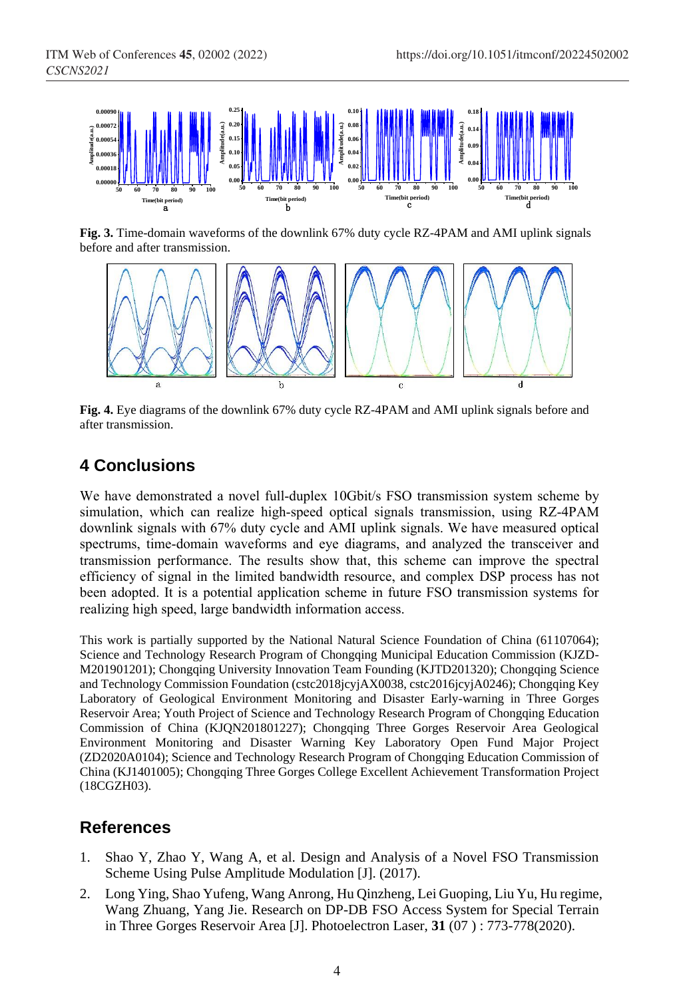

**Fig. 3.** Time-domain waveforms of the downlink 67% duty cycle RZ-4PAM and AMI uplink signals before and after transmission.



**Fig. 4.** Eye diagrams of the downlink 67% duty cycle RZ-4PAM and AMI uplink signals before and after transmission.

# **4 Conclusions**

We have demonstrated a novel full-duplex 10Gbit/s FSO transmission system scheme by simulation, which can realize high-speed optical signals transmission, using RZ-4PAM downlink signals with 67% duty cycle and AMI uplink signals. We have measured optical spectrums, time-domain waveforms and eye diagrams, and analyzed the transceiver and transmission performance. The results show that, this scheme can improve the spectral efficiency of signal in the limited bandwidth resource, and complex DSP process has not been adopted. It is a potential application scheme in future FSO transmission systems for realizing high speed, large bandwidth information access.

This work is partially supported by the National Natural Science Foundation of China (61107064); Science and Technology Research Program of Chongqing Municipal Education Commission (KJZD-M201901201); Chongqing University Innovation Team Founding (KJTD201320); Chongqing Science and Technology Commission Foundation (cstc2018jcyjAX0038, cstc2016jcyjA0246); Chongqing Key Laboratory of Geological Environment Monitoring and Disaster Early-warning in Three Gorges Reservoir Area; Youth Project of Science and Technology Research Program of Chongqing Education Commission of China (KJQN201801227); Chongqing Three Gorges Reservoir Area Geological Environment Monitoring and Disaster Warning Key Laboratory Open Fund Major Project (ZD2020A0104); Science and Technology Research Program of Chongqing Education Commission of China (KJ1401005); Chongqing Three Gorges College Excellent Achievement Transformation Project (18CGZH03).

## **References**

- <span id="page-3-0"></span>1. Shao Y, Zhao Y, Wang A, et al. Design and Analysis of a Novel FSO Transmission Scheme Using Pulse Amplitude Modulation [J]. (2017).
- <span id="page-3-1"></span>2. Long Ying, Shao Yufeng, Wang Anrong, Hu Qinzheng, Lei Guoping, Liu Yu, Hu regime, Wang Zhuang, Yang Jie. Research on DP-DB FSO Access System for Special Terrain in Three Gorges Reservoir Area [J]. Photoelectron Laser, **31** (07 ) : 773-778(2020).